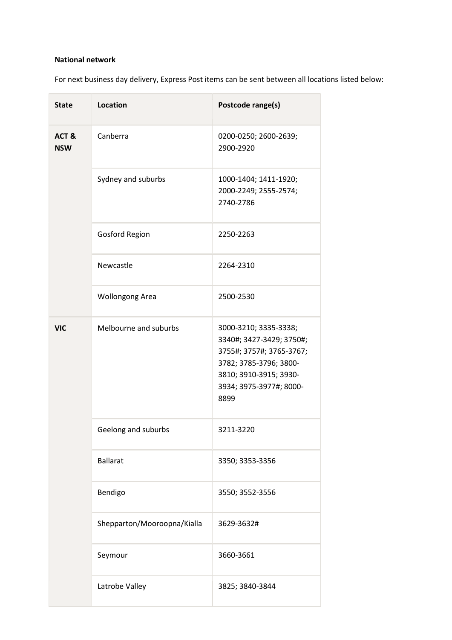### National network

For next business day delivery, Express Post items can be sent between all locations listed below:

| <b>State</b>       | <b>Location</b>             | Postcode range(s)                                                                                                                                                    |
|--------------------|-----------------------------|----------------------------------------------------------------------------------------------------------------------------------------------------------------------|
| ACT&<br><b>NSW</b> | Canberra                    | 0200-0250; 2600-2639;<br>2900-2920                                                                                                                                   |
|                    | Sydney and suburbs          | 1000-1404; 1411-1920;<br>2000-2249; 2555-2574;<br>2740-2786                                                                                                          |
|                    | <b>Gosford Region</b>       | 2250-2263                                                                                                                                                            |
|                    | Newcastle                   | 2264-2310                                                                                                                                                            |
|                    | <b>Wollongong Area</b>      | 2500-2530                                                                                                                                                            |
| <b>VIC</b>         | Melbourne and suburbs       | 3000-3210; 3335-3338;<br>3340#; 3427-3429; 3750#;<br>3755#; 3757#; 3765-3767;<br>3782; 3785-3796; 3800-<br>3810; 3910-3915; 3930-<br>3934; 3975-3977#; 8000-<br>8899 |
|                    | Geelong and suburbs         | 3211-3220                                                                                                                                                            |
|                    | <b>Ballarat</b>             | 3350; 3353-3356                                                                                                                                                      |
|                    | Bendigo                     | 3550; 3552-3556                                                                                                                                                      |
|                    | Shepparton/Mooroopna/Kialla | 3629-3632#                                                                                                                                                           |
|                    | Seymour                     | 3660-3661                                                                                                                                                            |
|                    | Latrobe Valley              | 3825; 3840-3844                                                                                                                                                      |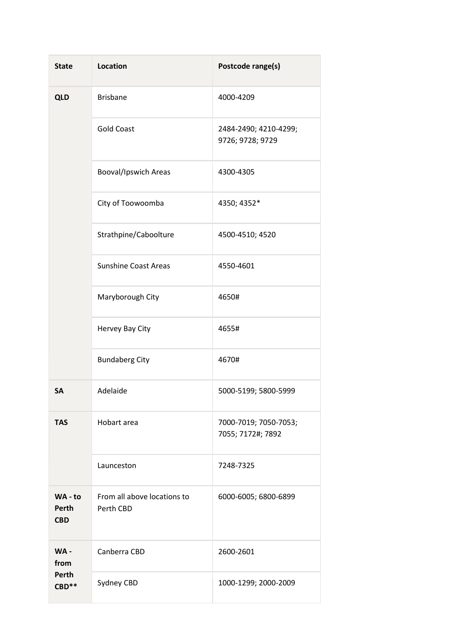| <b>State</b>                           | <b>Location</b>                          | Postcode range(s)                          |
|----------------------------------------|------------------------------------------|--------------------------------------------|
| <b>QLD</b>                             | <b>Brisbane</b>                          | 4000-4209                                  |
|                                        | <b>Gold Coast</b>                        | 2484-2490; 4210-4299;<br>9726; 9728; 9729  |
|                                        | <b>Booval/Ipswich Areas</b>              | 4300-4305                                  |
|                                        | City of Toowoomba                        | 4350; 4352*                                |
|                                        | Strathpine/Caboolture                    | 4500-4510; 4520                            |
|                                        | <b>Sunshine Coast Areas</b>              | 4550-4601                                  |
|                                        | Maryborough City                         | 4650#                                      |
|                                        | Hervey Bay City                          | 4655#                                      |
|                                        | <b>Bundaberg City</b>                    | 4670#                                      |
| <b>SA</b>                              | Adelaide                                 | 5000-5199; 5800-5999                       |
| <b>TAS</b>                             | Hobart area                              | 7000-7019; 7050-7053;<br>7055; 7172#; 7892 |
|                                        | Launceston                               | 7248-7325                                  |
| WA - to<br>Perth<br><b>CBD</b>         | From all above locations to<br>Perth CBD | 6000-6005; 6800-6899                       |
| WA-<br>from<br><b>Perth</b><br>$CBD**$ | Canberra CBD                             | 2600-2601                                  |
|                                        | Sydney CBD                               | 1000-1299; 2000-2009                       |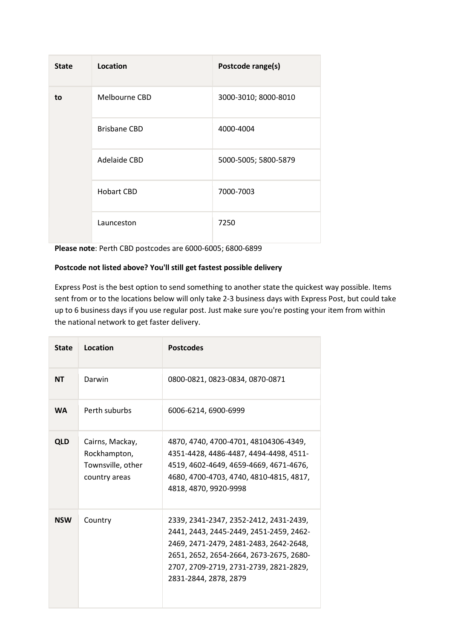| <b>State</b> | Location            | Postcode range(s)    |
|--------------|---------------------|----------------------|
| to           | Melbourne CBD       | 3000-3010; 8000-8010 |
|              | <b>Brisbane CBD</b> | 4000-4004            |
|              | Adelaide CBD        | 5000-5005; 5800-5879 |
|              | <b>Hobart CBD</b>   | 7000-7003            |
|              | Launceston          | 7250                 |

Please note: Perth CBD postcodes are 6000-6005; 6800-6899

### Postcode not listed above? You'll still get fastest possible delivery

Express Post is the best option to send something to another state the quickest way possible. Items sent from or to the locations below will only take 2-3 business days with Express Post, but could take up to 6 business days if you use regular post. Just make sure you're posting your item from within the national network to get faster delivery.

| <b>State</b> | Location                                                              | <b>Postcodes</b>                                                                                                                                                                                                                          |
|--------------|-----------------------------------------------------------------------|-------------------------------------------------------------------------------------------------------------------------------------------------------------------------------------------------------------------------------------------|
| <b>NT</b>    | Darwin                                                                | 0800-0821, 0823-0834, 0870-0871                                                                                                                                                                                                           |
| <b>WA</b>    | Perth suburbs                                                         | 6006-6214, 6900-6999                                                                                                                                                                                                                      |
| <b>QLD</b>   | Cairns, Mackay,<br>Rockhampton,<br>Townsville, other<br>country areas | 4870, 4740, 4700-4701, 48104306-4349,<br>4351-4428, 4486-4487, 4494-4498, 4511-<br>4519, 4602-4649, 4659-4669, 4671-4676,<br>4680, 4700-4703, 4740, 4810-4815, 4817,<br>4818, 4870, 9920-9998                                             |
| <b>NSW</b>   | Country                                                               | 2339, 2341-2347, 2352-2412, 2431-2439,<br>2441, 2443, 2445-2449, 2451-2459, 2462-<br>2469, 2471-2479, 2481-2483, 2642-2648,<br>2651, 2652, 2654-2664, 2673-2675, 2680-<br>2707, 2709-2719, 2731-2739, 2821-2829,<br>2831-2844, 2878, 2879 |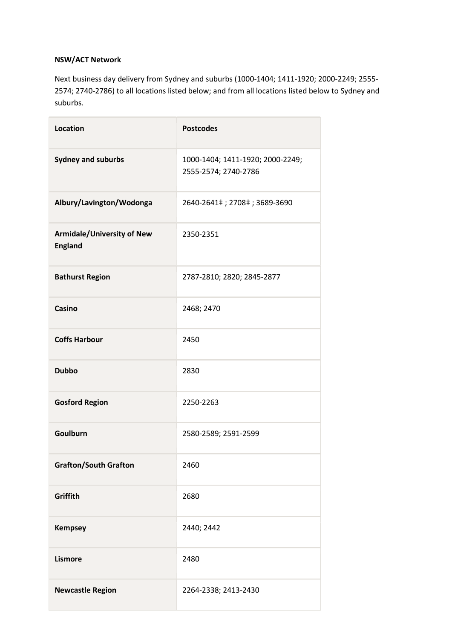### NSW/ACT Network

Next business day delivery from Sydney and suburbs (1000-1404; 1411-1920; 2000-2249; 2555- 2574; 2740-2786) to all locations listed below; and from all locations listed below to Sydney and suburbs.

| <b>Location</b>                                     | <b>Postcodes</b>                                         |
|-----------------------------------------------------|----------------------------------------------------------|
| <b>Sydney and suburbs</b>                           | 1000-1404; 1411-1920; 2000-2249;<br>2555-2574; 2740-2786 |
| Albury/Lavington/Wodonga                            | 2640-2641‡; 2708‡; 3689-3690                             |
| <b>Armidale/University of New</b><br><b>England</b> | 2350-2351                                                |
| <b>Bathurst Region</b>                              | 2787-2810; 2820; 2845-2877                               |
| Casino                                              | 2468; 2470                                               |
| <b>Coffs Harbour</b>                                | 2450                                                     |
| <b>Dubbo</b>                                        | 2830                                                     |
| <b>Gosford Region</b>                               | 2250-2263                                                |
| Goulburn                                            | 2580-2589; 2591-2599                                     |
| <b>Grafton/South Grafton</b>                        | 2460                                                     |
| Griffith                                            | 2680                                                     |
| <b>Kempsey</b>                                      | 2440; 2442                                               |
| <b>Lismore</b>                                      | 2480                                                     |
| <b>Newcastle Region</b>                             | 2264-2338; 2413-2430                                     |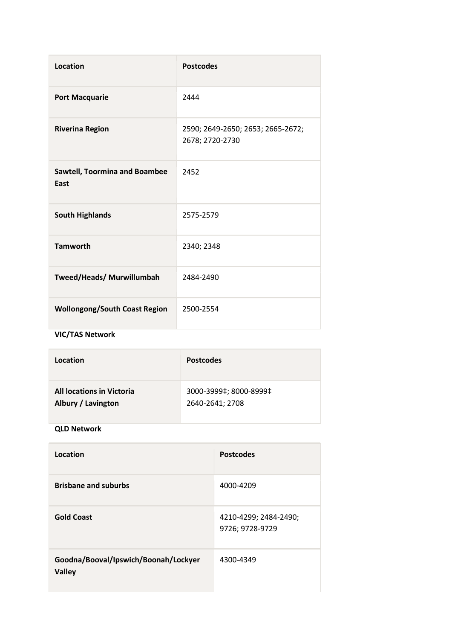| <b>Location</b>                              | <b>Postcodes</b>                                     |
|----------------------------------------------|------------------------------------------------------|
| <b>Port Macquarie</b>                        | 2444                                                 |
| <b>Riverina Region</b>                       | 2590; 2649-2650; 2653; 2665-2672;<br>2678; 2720-2730 |
| <b>Sawtell, Toormina and Boambee</b><br>East | 2452                                                 |
| <b>South Highlands</b>                       | 2575-2579                                            |
| <b>Tamworth</b>                              | 2340; 2348                                           |
| Tweed/Heads/ Murwillumbah                    | 2484-2490                                            |
| <b>Wollongong/South Coast Region</b>         | 2500-2554                                            |

# VIC/TAS Network

| Location                         | <b>Postcodes</b>       |
|----------------------------------|------------------------|
| <b>All locations in Victoria</b> | 3000-3999‡; 8000-8999‡ |
| Albury / Lavington               | 2640-2641; 2708        |

## QLD Network

| Location                                              | <b>Postcodes</b>                         |
|-------------------------------------------------------|------------------------------------------|
| <b>Brisbane and suburbs</b>                           | 4000-4209                                |
| <b>Gold Coast</b>                                     | 4210-4299; 2484-2490;<br>9726; 9728-9729 |
| Goodna/Booval/Ipswich/Boonah/Lockyer<br><b>Valley</b> | 4300-4349                                |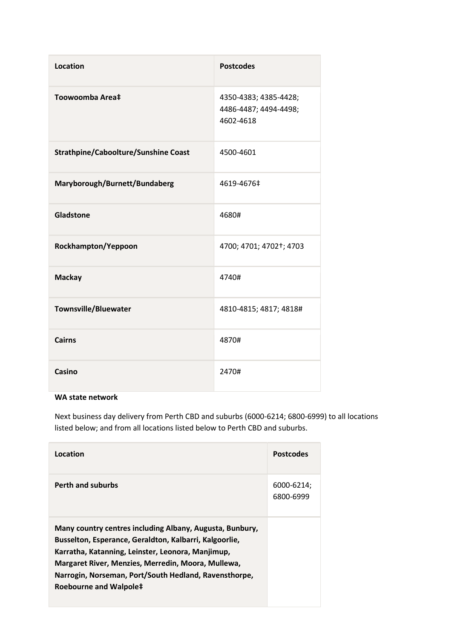| <b>Location</b>                             | <b>Postcodes</b>                                            |
|---------------------------------------------|-------------------------------------------------------------|
| Toowoomba Area‡                             | 4350-4383; 4385-4428;<br>4486-4487; 4494-4498;<br>4602-4618 |
| <b>Strathpine/Caboolture/Sunshine Coast</b> | 4500-4601                                                   |
| Maryborough/Burnett/Bundaberg               | 4619-4676‡                                                  |
| Gladstone                                   | 4680#                                                       |
| Rockhampton/Yeppoon                         | 4700; 4701; 4702†; 4703                                     |
| <b>Mackay</b>                               | 4740#                                                       |
| <b>Townsville/Bluewater</b>                 | 4810-4815; 4817; 4818#                                      |
| <b>Cairns</b>                               | 4870#                                                       |
| Casino                                      | 2470#                                                       |

### WA state network

Next business day delivery from Perth CBD and suburbs (6000-6214; 6800-6999) to all locations listed below; and from all locations listed below to Perth CBD and suburbs.

| Location                                                                                                                                                                                                                                                                                                         | <b>Postcodes</b>        |
|------------------------------------------------------------------------------------------------------------------------------------------------------------------------------------------------------------------------------------------------------------------------------------------------------------------|-------------------------|
| <b>Perth and suburbs</b>                                                                                                                                                                                                                                                                                         | 6000-6214;<br>6800-6999 |
| Many country centres including Albany, Augusta, Bunbury,<br>Busselton, Esperance, Geraldton, Kalbarri, Kalgoorlie,<br>Karratha, Katanning, Leinster, Leonora, Manjimup,<br>Margaret River, Menzies, Merredin, Moora, Mullewa,<br>Narrogin, Norseman, Port/South Hedland, Ravensthorpe,<br>Roebourne and Walpole‡ |                         |